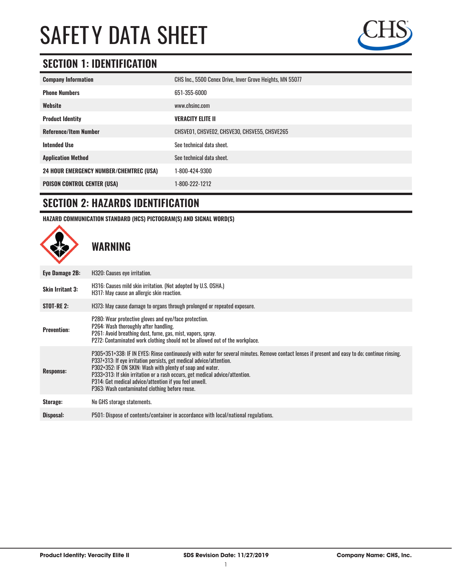

## **SECTION 1: IDENTIFICATION**

| CHS Inc., 5500 Cenex Drive, Inver Grove Heights, MN 55077 |
|-----------------------------------------------------------|
| 651-355-6000                                              |
| www.chsinc.com                                            |
| <b>VERACITY ELITE II</b>                                  |
| CHSVE01, CHSVE02, CHSVE30, CHSVE55, CHSVE265              |
| See technical data sheet.                                 |
| See technical data sheet.                                 |
| 1-800-424-9300                                            |
| 1-800-222-1212                                            |
|                                                           |

### **SECTION 2: HAZARDS IDENTIFICATION**

**HAZARD COMMUNICATION STANDARD (HCS) PICTOGRAM(S) AND SIGNAL WORD(S)**



**WARNING**

| Eye Damage 2B:          | H320: Causes eye irritation.                                                                                                                                                                                                                                                                                                                                                                                                                                                    |
|-------------------------|---------------------------------------------------------------------------------------------------------------------------------------------------------------------------------------------------------------------------------------------------------------------------------------------------------------------------------------------------------------------------------------------------------------------------------------------------------------------------------|
| <b>Skin Irritant 3:</b> | H316: Causes mild skin irritation. (Not adopted by U.S. OSHA.)<br>H317: May cause an allergic skin reaction.                                                                                                                                                                                                                                                                                                                                                                    |
| <b>STOT-RE 2:</b>       | H373: May cause damage to organs through prolonged or repeated exposure.                                                                                                                                                                                                                                                                                                                                                                                                        |
| <b>Prevention:</b>      | P280: Wear protective gloves and eye/face protection.<br>P264: Wash thoroughly after handling.<br>P261: Avoid breathing dust, fume, gas, mist, vapors, spray.<br>P272: Contaminated work clothing should not be allowed out of the workplace.                                                                                                                                                                                                                                   |
| <b>Response:</b>        | P305+351+338: IF IN EYES: Rinse continuously with water for several minutes. Remove contact lenses if present and easy to do; continue rinsing.<br>P337+313: If eye irritation persists, get medical advice/attention.<br>P302+352: IF ON SKIN: Wash with plenty of soap and water.<br>P333+313: If skin irritation or a rash occurs, get medical advice/attention.<br>P314: Get medical advice/attention if you feel unwell.<br>P363: Wash contaminated clothing before reuse. |
| Storage:                | No GHS storage statements.                                                                                                                                                                                                                                                                                                                                                                                                                                                      |
| Disposal:               | P501: Dispose of contents/container in accordance with local/national regulations.                                                                                                                                                                                                                                                                                                                                                                                              |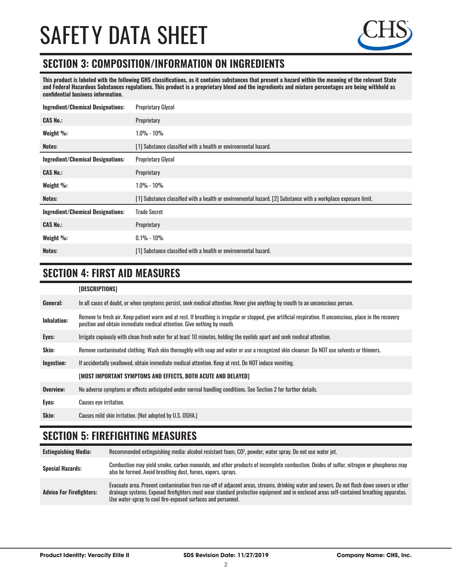#### **SECTION 3: COMPOSITION/INFORMATION ON INGREDIENTS**

**This product is labeled with the following GHS classifications, as it contains substances that present a hazard within the meaning of the relevant State and Federal Hazardous Substances regulations. This product is a proprietary blend and the ingredients and mixture percentages are being withheld as confidential business information.**

| <b>Ingredient/Chemical Designations:</b> | <b>Proprietary Glycol</b>                                                                                      |
|------------------------------------------|----------------------------------------------------------------------------------------------------------------|
| <b>CAS No.:</b>                          | Proprietary                                                                                                    |
| Weight %:                                | 1.0% - 10%                                                                                                     |
| Notes:                                   | [1] Substance classified with a health or environmental hazard.                                                |
| <b>Ingredient/Chemical Designations:</b> | <b>Proprietary Glycol</b>                                                                                      |
| <b>CAS No.:</b>                          | Proprietary                                                                                                    |
| Weight %:                                | 1.0% - 10%                                                                                                     |
| Notes:                                   | [1] Substance classified with a health or environmental hazard. [2] Substance with a workplace exposure limit. |
| <b>Ingredient/Chemical Designations:</b> | <b>Trade Secret</b>                                                                                            |
| <b>CAS No.:</b>                          | Proprietary                                                                                                    |
| Weight %:                                | $0.1\% - 10\%$                                                                                                 |
| Notes:                                   | [1] Substance classified with a health or environmental hazard.                                                |

#### **SECTION 4: FIRST AID MEASURES**

|                    | [DESCRIPTIONS]                                                                                                                                                                                                                          |
|--------------------|-----------------------------------------------------------------------------------------------------------------------------------------------------------------------------------------------------------------------------------------|
| General:           | In all cases of doubt, or when symptoms persist, seek medical attention. Never give anything by mouth to an unconscious person.                                                                                                         |
| <b>Inhalation:</b> | Remove to fresh air. Keep patient warm and at rest. If breathing is irregular or stopped, give artificial respiration. If unconscious, place in the recovery<br>position and obtain immediate medical attention. Give nothing by mouth. |
| Eyes:              | Irrigate copiously with clean fresh water for at least 10 minutes, holding the eyelids apart and seek medical attention.                                                                                                                |
| Skin:              | Remove contaminated clothing. Wash skin thoroughly with soap and water or use a recognized skin cleanser. Do NOT use solvents or thinners.                                                                                              |
| Ingestion:         | If accidentally swallowed, obtain immediate medical attention. Keep at rest, Do NOT induce vomiting.                                                                                                                                    |
|                    | [MOST IMPORTANT SYMPTOMS AND EFFECTS, BOTH ACUTE AND DELAYED]                                                                                                                                                                           |
| Overview:          | No adverse symptoms or effects anticipated under normal handling conditions. See Section 2 for further details.                                                                                                                         |
| Eyes:              | <b>Causes eye irritation.</b>                                                                                                                                                                                                           |
| Skin:              | Causes mild skin irritation. (Not adopted by U.S. OSHA.)                                                                                                                                                                                |

#### **SECTION 5: FIREFIGHTING MEASURES**

| <b>Extinguishing Media:</b>     | Recommended extinguishing media: alcohol resistant foam, CO <sup>2</sup> , powder, water spray. Do not use water jet.                                                                                                                                                                                                                                  |
|---------------------------------|--------------------------------------------------------------------------------------------------------------------------------------------------------------------------------------------------------------------------------------------------------------------------------------------------------------------------------------------------------|
| <b>Special Hazards:</b>         | Combustion may yield smoke, carbon monoxide, and other products of incomplete combustion. Oxides of sulfur, nitrogen or phosphorus may<br>also be formed. Avoid breathing dust, fumes, vapors, sprays.                                                                                                                                                 |
| <b>Advice For Firefighters:</b> | Evacuate area. Prevent contamination from run-off of adjacent areas, streams, drinking water and sewers. Do not flush down sewers or other<br>drainage systems. Exposed firefighters must wear standard protective equipment and in enclosed areas self-contained breathing apparatus.<br>Use water-spray to cool fire-exposed surfaces and personnel. |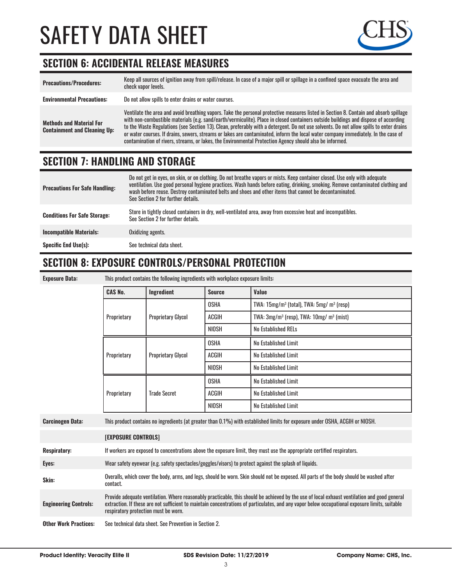

### **SECTION 6: ACCIDENTAL RELEASE MEASURES**

| <b>Precautions/Procedures:</b>                                         | Keep all sources of ignition away from spill/release. In case of a major spill or spillage in a confined space evacuate the area and<br>check vapor levels.                                                                                                                                                                                                                                                                                                                                                                                                                                                                                                               |
|------------------------------------------------------------------------|---------------------------------------------------------------------------------------------------------------------------------------------------------------------------------------------------------------------------------------------------------------------------------------------------------------------------------------------------------------------------------------------------------------------------------------------------------------------------------------------------------------------------------------------------------------------------------------------------------------------------------------------------------------------------|
| <b>Environmental Precautions:</b>                                      | Do not allow spills to enter drains or water courses.                                                                                                                                                                                                                                                                                                                                                                                                                                                                                                                                                                                                                     |
| <b>Methods and Material For</b><br><b>Containment and Cleaning Up:</b> | Ventilate the area and avoid breathing vapors. Take the personal protective measures listed in Section 8. Contain and absorb spillage<br>with non-combustible materials (e.g. sand/earth/vermiculite). Place in closed containers outside buildings and dispose of according<br>to the Waste Regulations (see Section 13). Clean, preferably with a detergent. Do not use solvents. Do not allow spills to enter drains<br>or water courses. If drains, sewers, streams or lakes are contaminated, inform the local water company immediately. In the case of<br>contamination of rivers, streams, or lakes, the Environmental Protection Agency should also be informed. |

## **SECTION 7: HANDLING AND STORAGE**

| <b>Precautions For Safe Handling:</b> | Do not get in eyes, on skin, or on clothing. Do not breathe vapors or mists. Keep container closed. Use only with adequate<br>ventilation. Use good personal hygiene practices. Wash hands before eating, drinking, smoking. Remove contaminated clothing and<br>wash before reuse. Destroy contaminated belts and shoes and other items that cannot be decontaminated.<br>See Section 2 for further details. |
|---------------------------------------|---------------------------------------------------------------------------------------------------------------------------------------------------------------------------------------------------------------------------------------------------------------------------------------------------------------------------------------------------------------------------------------------------------------|
| <b>Conditions For Safe Storage:</b>   | Store in tightly closed containers in dry, well-ventilated area, away from excessive heat and incompatibles.<br>See Section 2 for further details.                                                                                                                                                                                                                                                            |
| <b>Incompatible Materials:</b>        | Oxidizing agents.                                                                                                                                                                                                                                                                                                                                                                                             |
| <b>Specific End Use(s):</b>           | See technical data sheet.                                                                                                                                                                                                                                                                                                                                                                                     |

#### **SECTION 8: EXPOSURE CONTROLS/PERSONAL PROTECTION**

| <b>Exposure Data:</b>        | This product contains the following ingredients with workplace exposure limits:                                                                                                                                                                                                                                                        |                           |               |                                                                  |
|------------------------------|----------------------------------------------------------------------------------------------------------------------------------------------------------------------------------------------------------------------------------------------------------------------------------------------------------------------------------------|---------------------------|---------------|------------------------------------------------------------------|
|                              | <b>CAS No.</b>                                                                                                                                                                                                                                                                                                                         | Ingredient                | <b>Source</b> | Value                                                            |
|                              |                                                                                                                                                                                                                                                                                                                                        | <b>Proprietary Glycol</b> | <b>OSHA</b>   | TWA: $15mg/m^3$ (total), TWA: $5mg/m^3$ (resp)                   |
|                              | Proprietary                                                                                                                                                                                                                                                                                                                            |                           | <b>ACGIH</b>  | TWA: 3mg/m <sup>3</sup> (resp), TWA: 10mg/ m <sup>3</sup> (mist) |
|                              |                                                                                                                                                                                                                                                                                                                                        |                           | <b>NIOSH</b>  | <b>No Established RELs</b>                                       |
|                              | Proprietary                                                                                                                                                                                                                                                                                                                            | <b>Proprietary Glycol</b> | <b>OSHA</b>   | No Established Limit                                             |
|                              |                                                                                                                                                                                                                                                                                                                                        |                           | <b>ACGIH</b>  | No Established Limit                                             |
|                              |                                                                                                                                                                                                                                                                                                                                        |                           | NIOSH         | No Established Limit                                             |
|                              |                                                                                                                                                                                                                                                                                                                                        | <b>Trade Secret</b>       | <b>OSHA</b>   | No Established Limit                                             |
|                              | Proprietary                                                                                                                                                                                                                                                                                                                            |                           | <b>ACGIH</b>  | No Established Limit                                             |
|                              |                                                                                                                                                                                                                                                                                                                                        |                           | <b>NIOSH</b>  | No Established Limit                                             |
| <b>Carcinogen Data:</b>      | This product contains no ingredients (at greater than 0.1%) with established limits for exposure under OSHA, ACGIH or NIOSH.                                                                                                                                                                                                           |                           |               |                                                                  |
|                              | <b>[EXPOSURE CONTROLS]</b>                                                                                                                                                                                                                                                                                                             |                           |               |                                                                  |
| <b>Respiratory:</b>          | If workers are exposed to concentrations above the exposure limit, they must use the appropriate certified respirators.                                                                                                                                                                                                                |                           |               |                                                                  |
| Eyes:                        | Wear safety eyewear (e.g. safety spectacles/goggles/visors) to protect against the splash of liquids.                                                                                                                                                                                                                                  |                           |               |                                                                  |
| Skin:                        | Overalls, which cover the body, arms, and legs, should be worn. Skin should not be exposed. All parts of the body should be washed after<br>contact.                                                                                                                                                                                   |                           |               |                                                                  |
| <b>Engineering Controls:</b> | Provide adequate ventilation. Where reasonably practicable, this should be achieved by the use of local exhaust ventilation and good general<br>extraction. If these are not sufficient to maintain concentrations of particulates, and any vapor below occupational exposure limits, suitable<br>respiratory protection must be worn. |                           |               |                                                                  |
| <b>Other Work Practices:</b> | See technical data sheet. See Prevention in Section 2.                                                                                                                                                                                                                                                                                 |                           |               |                                                                  |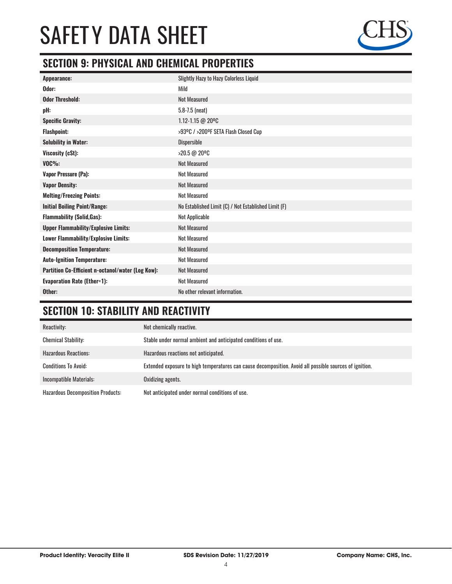

### **SECTION 9: PHYSICAL AND CHEMICAL PROPERTIES**

| <b>Slightly Hazy to Hazy Colorless Liquid</b>        |
|------------------------------------------------------|
| Mild                                                 |
| <b>Not Measured</b>                                  |
| $5.8 - 7.5$ (neat)                                   |
| 1.12-1.15 @ 20°C                                     |
| >93ºC / >200ºF SETA Flash Closed Cup                 |
| <b>Dispersible</b>                                   |
| >20.5 @ 20°C                                         |
| <b>Not Measured</b>                                  |
| <b>Not Measured</b>                                  |
| <b>Not Measured</b>                                  |
| <b>Not Measured</b>                                  |
| No Established Limit (C) / Not Established Limit (F) |
| Not Applicable                                       |
| <b>Not Measured</b>                                  |
| <b>Not Measured</b>                                  |
| <b>Not Measured</b>                                  |
| <b>Not Measured</b>                                  |
| <b>Not Measured</b>                                  |
| <b>Not Measured</b>                                  |
| No other relevant information.                       |
|                                                      |

## **SECTION 10: STABILITY AND REACTIVITY**

| Reactivity:                              | Not chemically reactive.                                                                                |
|------------------------------------------|---------------------------------------------------------------------------------------------------------|
| <b>Chemical Stability:</b>               | Stable under normal ambient and anticipated conditions of use.                                          |
| <b>Hazardous Reactions:</b>              | Hazardous reactions not anticipated.                                                                    |
| <b>Conditions To Avoid:</b>              | Extended exposure to high temperatures can cause decomposition. Avoid all possible sources of ignition. |
| Incompatible Materials:                  | Oxidizing agents.                                                                                       |
| <b>Hazardous Decomposition Products:</b> | Not anticipated under normal conditions of use.                                                         |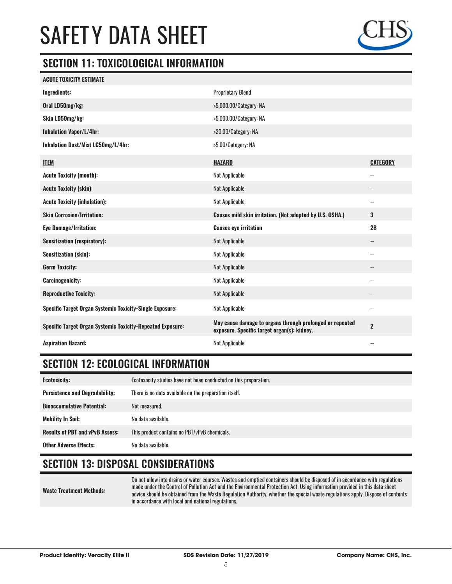

#### **SECTION 11: TOXICOLOGICAL INFORMATION**

| <b>ACUTE TOXICITY ESTIMATE</b>                                    |                                                                                                         |                            |
|-------------------------------------------------------------------|---------------------------------------------------------------------------------------------------------|----------------------------|
| <b>Ingredients:</b>                                               | <b>Proprietary Blend</b>                                                                                |                            |
| Oral LD50mg/kg:                                                   | >5,000.00/Category: NA                                                                                  |                            |
| Skin LD50mg/kg:                                                   | >5,000.00/Category: NA                                                                                  |                            |
| <b>Inhalation Vapor/L/4hr:</b>                                    | >20.00/Category: NA                                                                                     |                            |
| Inhalation Dust/Mist LC50mg/L/4hr:                                | >5.00/Category: NA                                                                                      |                            |
| <b>ITEM</b>                                                       | <b>HAZARD</b>                                                                                           | <b>CATEGORY</b>            |
| <b>Acute Toxicity (mouth):</b>                                    | <b>Not Applicable</b>                                                                                   | $\overline{a}$             |
| <b>Acute Toxicity (skin):</b>                                     | Not Applicable                                                                                          | $\overline{\phantom{a}}$   |
| <b>Acute Toxicity (inhalation):</b>                               | Not Applicable                                                                                          | $\overline{\phantom{a}}$   |
| <b>Skin Corrosion/Irritation:</b>                                 | Causes mild skin irritation. (Not adopted by U.S. OSHA.)                                                | 3                          |
| <b>Eye Damage/Irritation:</b>                                     | <b>Causes eye irritation</b>                                                                            | 2B                         |
| <b>Sensitization (respiratory):</b>                               | Not Applicable                                                                                          | $\overline{\phantom{a}}$   |
| <b>Sensitization (skin):</b>                                      | Not Applicable                                                                                          | $\overline{\phantom{a}}$   |
| <b>Germ Toxicity:</b>                                             | Not Applicable                                                                                          | $\overline{\phantom{a}}$   |
| <b>Carcinogenicity:</b>                                           | Not Applicable                                                                                          | $\overline{\phantom{a}}$   |
| <b>Reproductive Toxicity:</b>                                     | Not Applicable                                                                                          | $\overline{\phantom{a}}$ . |
| <b>Specific Target Organ Systemic Toxicity-Single Exposure:</b>   | <b>Not Applicable</b>                                                                                   | $-$                        |
| <b>Specific Target Organ Systemic Toxicity-Repeated Exposure:</b> | May cause damage to organs through prolonged or repeated<br>exposure. Specific target organ(s): kidney. | $\overline{2}$             |
| <b>Aspiration Hazard:</b>                                         | <b>Not Applicable</b>                                                                                   | $\overline{\phantom{a}}$   |

### **SECTION 12: ECOLOGICAL INFORMATION**

| <b>Ecotoxicity:</b>                    | Ecotoxocity studies have not been conducted on this preparation. |
|----------------------------------------|------------------------------------------------------------------|
| <b>Persistence and Degradability:</b>  | There is no data available on the preparation itself.            |
| <b>Bioaccumulative Potential:</b>      | Not measured.                                                    |
| <b>Mobility In Soil:</b>               | No data available.                                               |
| <b>Results of PBT and vPvB Assess:</b> | This product contains no PBT/vPvB chemicals.                     |
| <b>Other Adverse Effects:</b>          | No data available.                                               |

#### **SECTION 13: DISPOSAL CONSIDERATIONS**

**Waste Treatment Methods:**

Do not allow into drains or water courses. Wastes and emptied containers should be disposed of in accordance with regulations made under the Control of Pollution Act and the Environmental Protection Act. Using information provided in this data sheet advice should be obtained from the Waste Regulation Authority, whether the special waste regulations apply. Dispose of contents in accordance with local and national regulations.